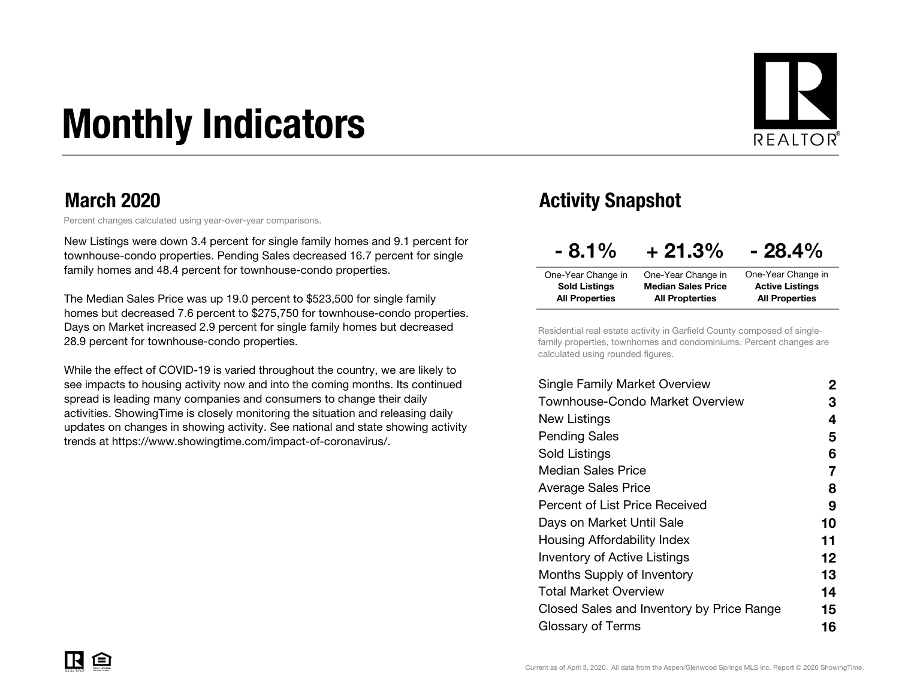# Monthly Indicators



### March 2020

Percent changes calculated using year-over-year comparisons.

New Listings were down 3.4 percent for single family homes and 9.1 percent for townhouse-condo properties. Pending Sales decreased 16.7 percent for single family homes and 48.4 percent for townhouse-condo properties.

The Median Sales Price was up 19.0 percent to \$523,500 for single family homes but decreased 7.6 percent to \$275,750 for townhouse-condo properties. Days on Market increased 2.9 percent for single family homes but decreased 28.9 percent for townhouse-condo properties.

While the effect of COVID-19 is varied throughout the country, we are likely to see impacts to housing activity now and into the coming months. Its continued spread is leading many companies and consumers to change their daily activities. ShowingTime is closely monitoring the situation and releasing daily updates on changes in showing activity. See national and state showing activity trends at https://www.showingtime.com/impact-of-coronavirus/.

### Activity Snapshot

| $-8.1\%$              | $+21.3%$                  | $-28.4\%$              |
|-----------------------|---------------------------|------------------------|
| One-Year Change in    | One-Year Change in        | One-Year Change in     |
| <b>Sold Listings</b>  | <b>Median Sales Price</b> | <b>Active Listings</b> |
| <b>All Properties</b> | <b>All Propterties</b>    | <b>All Properties</b>  |

Residential real estate activity in Garfield County composed of singlefamily properties, townhomes and condominiums. Percent changes are calculated using rounded figures.

| Single Family Market Overview             | 2  |
|-------------------------------------------|----|
| Townhouse-Condo Market Overview           | З  |
| New Listings                              | 4  |
| <b>Pending Sales</b>                      | 5  |
| Sold Listings                             | 6  |
| <b>Median Sales Price</b>                 | 7  |
| Average Sales Price                       | 8  |
| <b>Percent of List Price Received</b>     | 9  |
| Days on Market Until Sale                 | 10 |
| Housing Affordability Index               | 11 |
| <b>Inventory of Active Listings</b>       | 12 |
| <b>Months Supply of Inventory</b>         | 13 |
| Total Market Overview                     | 14 |
| Closed Sales and Inventory by Price Range | 15 |
| Glossary of Terms                         | 16 |
|                                           |    |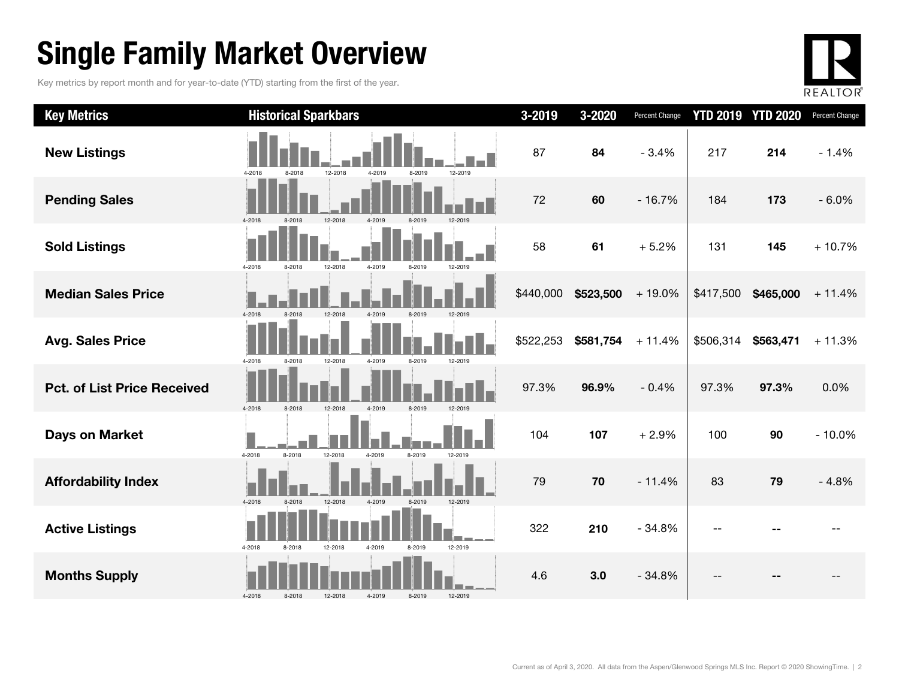# Single Family Market Overview

Key metrics by report month and for year-to-date (YTD) starting from the first of the year.



| <b>Key Metrics</b>                 | <b>Historical Sparkbars</b>                                | 3-2019    | 3-2020    | Percent Change |           | <b>YTD 2019 YTD 2020</b> | Percent Change |
|------------------------------------|------------------------------------------------------------|-----------|-----------|----------------|-----------|--------------------------|----------------|
| <b>New Listings</b>                | 12-2018<br>4-2019<br>12-2019<br>4-2018<br>8-2018<br>8-2019 | 87        | 84        | $-3.4%$        | 217       | 214                      | $-1.4%$        |
| <b>Pending Sales</b>               | 8-2018<br>12-2018<br>4-2018<br>4-2019<br>8-2019<br>12-2019 | 72        | 60        | $-16.7%$       | 184       | 173                      | $-6.0%$        |
| <b>Sold Listings</b>               | 4-2018<br>12-2018<br>4-2019<br>8-2018<br>8-2019<br>12-2019 | 58        | 61        | $+5.2%$        | 131       | 145                      | $+10.7%$       |
| <b>Median Sales Price</b>          | 4-2018<br>12-2018<br>8-2018<br>8-2019<br>12-2019           | \$440,000 | \$523,500 | $+19.0%$       | \$417,500 | \$465,000                | $+11.4%$       |
| <b>Avg. Sales Price</b>            | 12-2018<br>4-2019<br>4-2018<br>8-2018<br>8-2019<br>12-2019 | \$522,253 | \$581,754 | $+11.4%$       | \$506,314 | \$563,471                | $+11.3%$       |
| <b>Pct. of List Price Received</b> | 4-2019<br>4-2018<br>12-2018<br>8-2019<br>12-2019<br>8-2018 | 97.3%     | 96.9%     | $-0.4%$        | 97.3%     | 97.3%                    | 0.0%           |
| <b>Days on Market</b>              | 12-2018<br>4-2018<br>8-2018<br>4-2019<br>8-2019<br>12-2019 | 104       | 107       | $+2.9%$        | 100       | 90                       | $-10.0%$       |
| <b>Affordability Index</b>         | 4-2018<br>12-2018<br>8-2019<br>12-2019<br>8-2018<br>4-2019 | 79        | 70        | $-11.4%$       | 83        | 79                       | $-4.8%$        |
| <b>Active Listings</b>             | 4-2018<br>12-2018<br>4-2019<br>8-2019<br>12-2019<br>8-2018 | 322       | 210       | $-34.8%$       |           |                          |                |
| <b>Months Supply</b>               | 4-2018<br>8-2018<br>12-2018<br>4-2019<br>8-2019<br>12-2019 | 4.6       | 3.0       | $-34.8%$       |           |                          |                |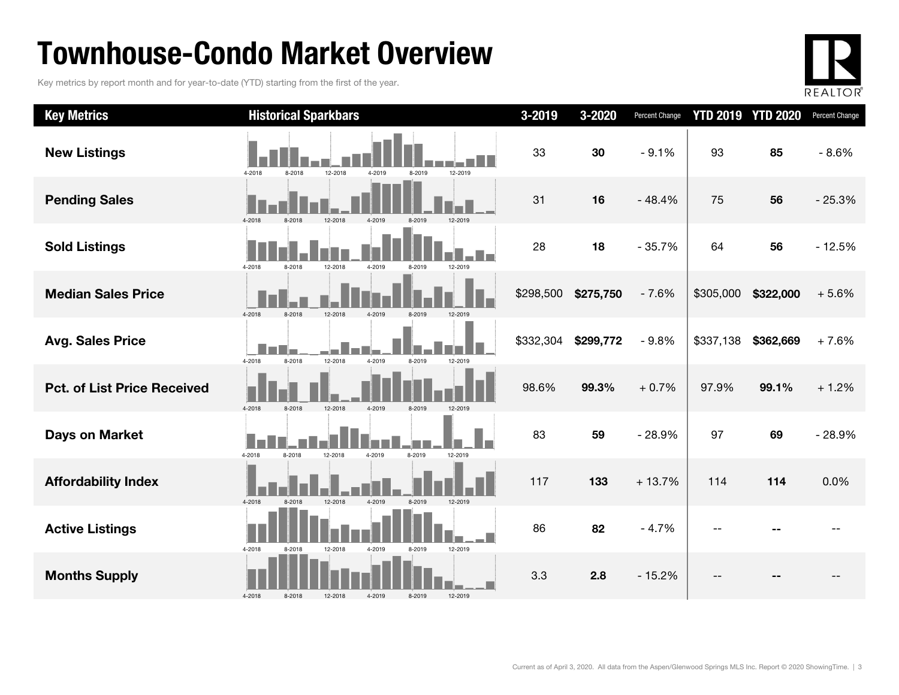# Townhouse-Condo Market Overview

Key metrics by report month and for year-to-date (YTD) starting from the first of the year.



| <b>Key Metrics</b>                 | <b>Historical Sparkbars</b>                                | 3-2019    | 3-2020    | <b>Percent Change</b> |           | <b>YTD 2019 YTD 2020</b> | Percent Change |
|------------------------------------|------------------------------------------------------------|-----------|-----------|-----------------------|-----------|--------------------------|----------------|
| <b>New Listings</b>                | 12-2018<br>12-2019<br>4-2018<br>8-2018<br>4-2019<br>8-2019 | 33        | 30        | $-9.1%$               | 93        | 85                       | $-8.6%$        |
| <b>Pending Sales</b>               | 4-2018<br>12-2019                                          | 31        | 16        | $-48.4%$              | 75        | 56                       | $-25.3%$       |
| <b>Sold Listings</b>               | 4-2018<br>8-2018<br>12-2018<br>4-2019<br>12-2019<br>8-2019 | 28        | 18        | $-35.7%$              | 64        | 56                       | $-12.5%$       |
| <b>Median Sales Price</b>          | 4-2018<br>8-2018<br>12-2018<br>4-2019<br>8-2019            | \$298,500 | \$275,750 | $-7.6%$               | \$305,000 | \$322,000                | $+5.6%$        |
| <b>Avg. Sales Price</b>            | 8-2018<br>12-2018<br>4-2019<br>8-2019<br>4-2018<br>12-2019 | \$332,304 | \$299,772 | $-9.8%$               | \$337,138 | \$362,669                | $+7.6%$        |
| <b>Pct. of List Price Received</b> | 4-2018<br>8-2018<br>12-2018<br>4-2019<br>8-2019<br>12-2019 | 98.6%     | 99.3%     | $+0.7%$               | 97.9%     | 99.1%                    | $+1.2%$        |
| <b>Days on Market</b>              | 4-2018<br>8-2018<br>12-2018<br>4-2019<br>8-2019<br>12-2019 | 83        | 59        | $-28.9%$              | 97        | 69                       | $-28.9%$       |
| <b>Affordability Index</b>         | 12-2018<br>4-2019<br>12-2019<br>4-2018<br>8-2018<br>8-2019 | 117       | 133       | $+13.7%$              | 114       | 114                      | 0.0%           |
| <b>Active Listings</b>             | 12-2018<br>12-2019<br>4-2018<br>8-2018<br>4-2019<br>8-2019 | 86        | 82        | $-4.7%$               |           |                          |                |
| <b>Months Supply</b>               | 4-2018<br>12-2019<br>8-2018<br>12-2018<br>4-2019<br>8-2019 | 3.3       | 2.8       | $-15.2%$              | $-$       |                          |                |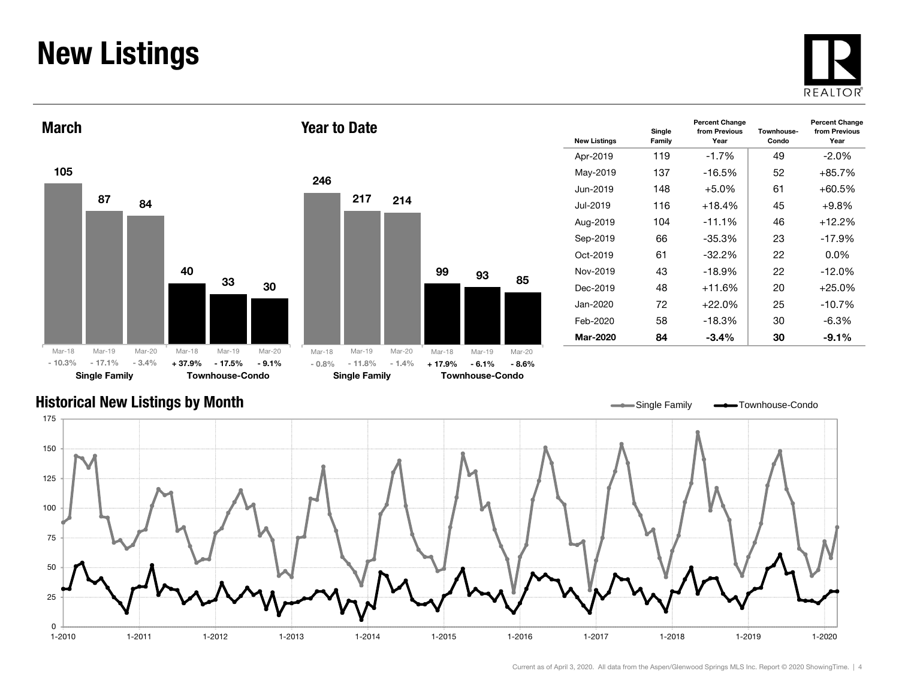# New Listings







| <b>New Listings</b> | Single<br>Family | <b>Percent Change</b><br>from Previous<br>Year | Townhouse-<br>Condo | <b>Percent Change</b><br>from Previous<br>Year |
|---------------------|------------------|------------------------------------------------|---------------------|------------------------------------------------|
| Apr-2019            | 119              | $-1.7%$                                        | 49                  | $-2.0\%$                                       |
| May-2019            | 137              | $-16.5\%$                                      | 52                  | +85.7%                                         |
| Jun-2019            | 148              | $+5.0\%$                                       | 61                  | +60.5%                                         |
| Jul-2019.           | 116              | $+18.4%$                                       | 45                  | $+9.8\%$                                       |
| Aug-2019            | 104              | $-11.1%$                                       | 46                  | +12.2%                                         |
| Sep-2019            | 66               | $-35.3%$                                       | 23                  | $-17.9\%$                                      |
| Oct-2019            | 61               | $-32.2\%$                                      | 22                  | 0.0%                                           |
| Nov-2019            | 43               | $-18.9%$                                       | 22                  | $-12.0%$                                       |
| Dec-2019            | 48               | $+11.6%$                                       | 20                  | $+25.0%$                                       |
| Jan-2020            | 72               | $+22.0\%$                                      | 25                  | $-10.7\%$                                      |
| Feb-2020            | 58               | $-18.3%$                                       | 30                  | -6.3%                                          |
| Mar-2020            | 84               | $-3.4\%$                                       | 30                  | $-9.1\%$                                       |

### Historical New Listings by Month

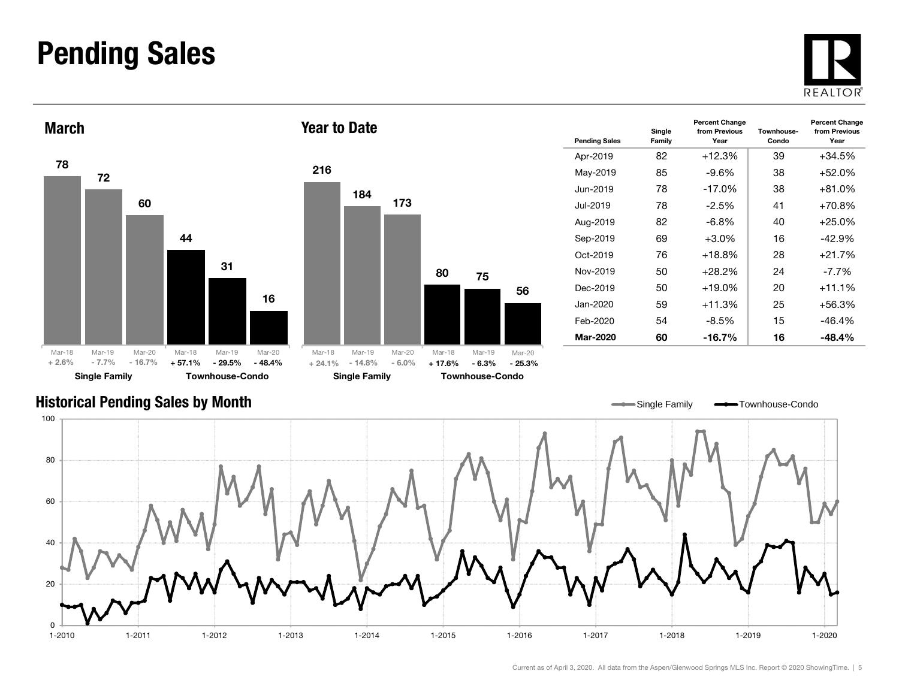### Pending Sales







| <b>Pending Sales</b> | Single<br>Family | <b>Percent Change</b><br>from Previous<br>Year | Townhouse-<br>Condo | <b>Percent Change</b><br>from Previous<br>Year |  |
|----------------------|------------------|------------------------------------------------|---------------------|------------------------------------------------|--|
| Apr-2019             | 82               | $+12.3%$                                       | 39                  | $+34.5%$                                       |  |
| May-2019             | 85               | $-9.6%$                                        | 38                  | $+52.0%$                                       |  |
| Jun-2019             | 78               | $-17.0%$                                       | 38                  | $+81.0%$                                       |  |
| .Jul-2019            | 78               | $-2.5%$                                        | 41                  | $+70.8%$                                       |  |
| Aug-2019             | 82               | $-6.8\%$                                       | 40                  | $+25.0%$                                       |  |
| Sep-2019             | 69               | $+3.0\%$                                       | 16                  | -42.9%                                         |  |
| Oct-2019             | 76               | $+18.8%$                                       | 28                  | $+21.7%$                                       |  |
| Nov-2019             | 50               | $+28.2\%$                                      | 24                  | $-7.7\%$                                       |  |
| Dec-2019             | 50               | $+19.0\%$                                      | 20                  | $+11.1%$                                       |  |
| Jan-2020.            | 59               | $+11.3%$                                       | 25                  |                                                |  |
| Feb-2020             | 54               | $-8.5\%$                                       | 15                  | $-46.4%$                                       |  |
| Mar-2020             | 60               | $-16.7\%$                                      | 16                  | -48.4%                                         |  |

#### Historical Pending Sales by Month

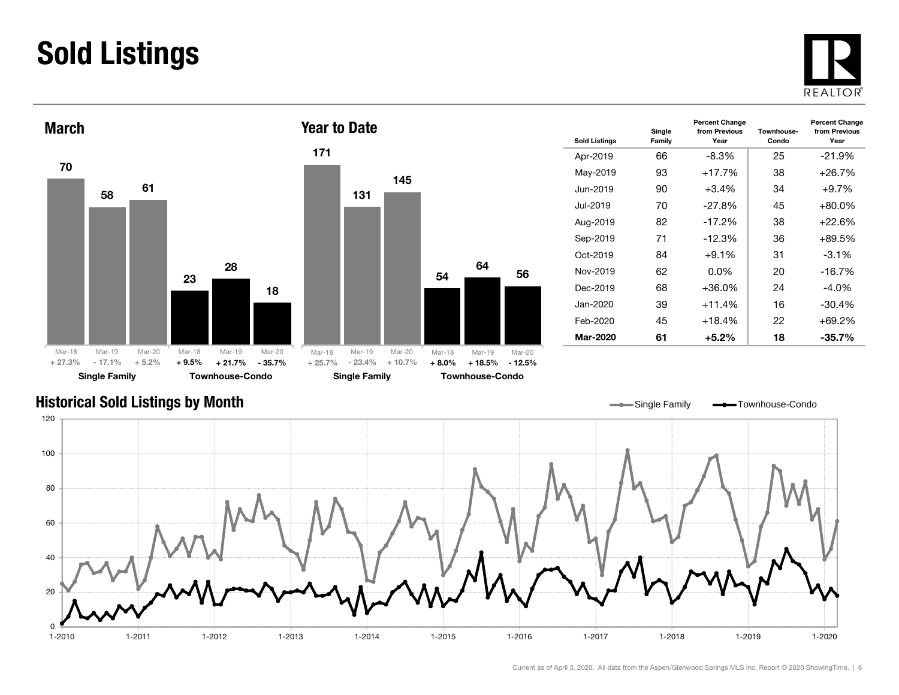# Sold Listings





| <b>Sold Listings</b> | Single<br>Family | <b>Percent Change</b><br>from Previous<br>Year | Townhouse-<br>Condo | <b>Percent Change</b><br>from Previous<br>Year |
|----------------------|------------------|------------------------------------------------|---------------------|------------------------------------------------|
| Apr-2019             | 66               | -8.3%                                          | 25                  | $-21.9\%$                                      |
| May-2019             | 93               | $+17.7%$                                       | 38                  | $+26.7%$                                       |
| Jun-2019             | 90               | $+3.4\%$                                       | 34                  | $+9.7\%$                                       |
| Jul-2019             | 70               | $-27.8%$                                       | 45                  | $+80.0\%$                                      |
| Aug-2019             | 82               | $-17.2%$                                       | 38                  | $+22.6%$                                       |
| Sep-2019             | 71               | $-12.3\%$                                      | 36                  | $+89.5%$                                       |
| Oct-2019             | 84               | $+9.1%$                                        | 31                  | $-3.1\%$                                       |
| Nov-2019             | 62               | $0.0\%$                                        | 20                  | $-16.7%$                                       |
| Dec-2019             | 68               | $+36.0\%$                                      | 24                  | $-4.0\%$                                       |
| Jan-2020             | 39               | $+11.4%$                                       | 16                  | $-30.4%$                                       |
| Feb-2020             | 45               | $+18.4%$                                       | 22                  | $+69.2%$                                       |
| Mar-2020             | 61               | +5.2%                                          | 18                  | $-35.7%$                                       |

### Historical Sold Listings by Month

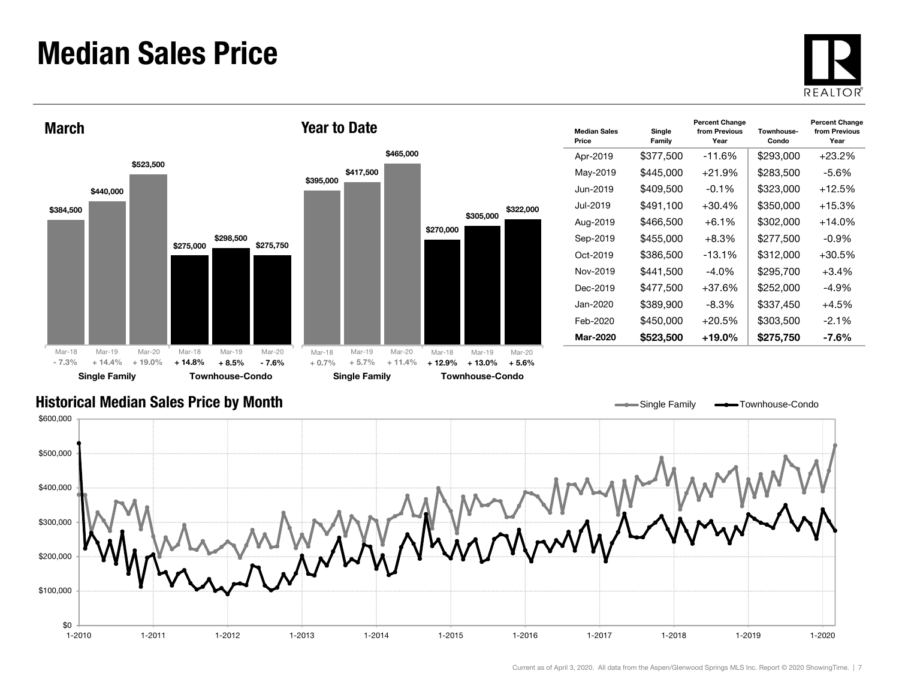### Median Sales Price





| <b>Median Sales</b><br>Price | Single<br>Family | <b>Percent Change</b><br>from Previous<br>Year | Townhouse-<br>Condo | <b>Percent Change</b><br>from Previous<br>Year |
|------------------------------|------------------|------------------------------------------------|---------------------|------------------------------------------------|
| Apr-2019                     | \$377,500        | $-11.6\%$                                      | \$293,000           | +23.2%                                         |
| May-2019                     | \$445,000        | $+21.9%$                                       | \$283,500           | -5.6%                                          |
| Jun-2019.                    | \$409,500        | $-0.1\%$                                       | \$323,000           | $+12.5%$                                       |
| Jul-2019.                    | \$491,100        | $+30.4%$                                       | \$350,000           | $+15.3%$                                       |
| Aug-2019                     | \$466,500        | $+6.1%$                                        | \$302,000           | +14.0%                                         |
| Sep-2019                     | \$455,000        | $+8.3%$                                        | \$277,500           | $-0.9\%$                                       |
| Oct-2019                     | \$386,500        | $-13.1%$                                       | \$312,000           | +30.5%                                         |
| Nov-2019                     | \$441,500        | $-4.0%$                                        | \$295,700           | $+3.4%$                                        |
| Dec-2019                     | \$477,500        | $+37.6%$                                       | \$252,000           | -4.9%                                          |
| Jan-2020                     | \$389,900        | $-8.3\%$                                       | \$337,450           | $+4.5%$                                        |
| Feb-2020                     | \$450,000        | $+20.5%$                                       | \$303,500           | $-2.1\%$                                       |
| <b>Mar-2020</b>              | \$523,500        | $+19.0\%$                                      | \$275,750           | -7.6%                                          |

Single Family **-**Townhouse-Condo

### Historical Median Sales Price by Month

\$0 \$100,000 \$200,000 \$300,000 \$400,000 \$500,000 \$600,000 1-2010 1-2011 1-2012 1-2013 1-2014 1-2015 1-2016 1-2017 1-2018 1-2019 1-20201-2020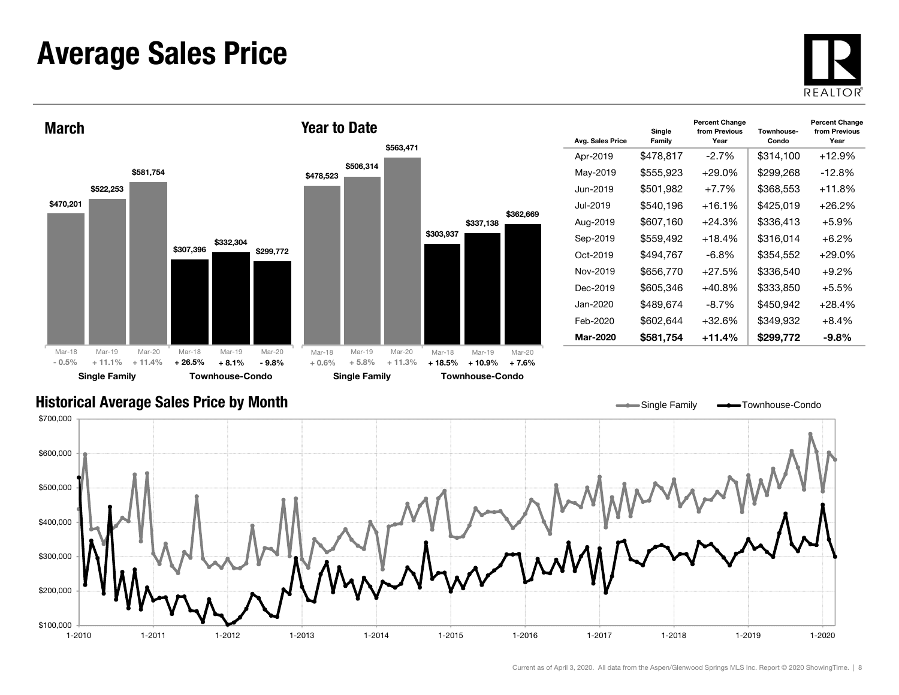### Average Sales Price





| Avg. Sales Price | Single<br>Family      | <b>Percent Change</b><br>from Previous<br>Year | Townhouse-<br>Condo | <b>Percent Change</b><br>from Previous<br>Year |
|------------------|-----------------------|------------------------------------------------|---------------------|------------------------------------------------|
| Apr-2019         | \$478,817             | $-2.7\%$                                       | \$314,100           | $+12.9%$                                       |
| May-2019         | \$555,923             | $+29.0\%$                                      | \$299,268           | $-12.8%$                                       |
| Jun-2019.        | \$501,982             | $+7.7\%$                                       | \$368,553           | $+11.8%$                                       |
| Jul-2019         | \$540,196             | $+16.1%$                                       | \$425,019           | $+26.2%$                                       |
| Aug-2019         | \$607,160             | $+24.3%$                                       | \$336,413           | $+5.9%$                                        |
| Sep-2019         | \$559,492<br>$+18.4%$ |                                                | \$316.014           | $+6.2\%$                                       |
| Oct-2019         | \$494.767             | -6.8%                                          | \$354.552           | $+29.0\%$                                      |
| Nov-2019         | \$656,770             | $+27.5%$                                       | \$336,540           | $+9.2%$                                        |
| Dec-2019         | \$605,346             | $+40.8%$                                       | \$333,850           | $+5.5\%$                                       |
| Jan-2020         | \$489,674             | -8.7%                                          | \$450,942           | $+28.4%$                                       |
| Feb-2020         | \$602.644             | +32.6%                                         | \$349,932           | $+8.4\%$                                       |
| <b>Mar-2020</b>  | \$581,754             | $+11.4%$                                       | \$299,772           | $-9.8\%$                                       |

#### Historical Average Sales Price by Month

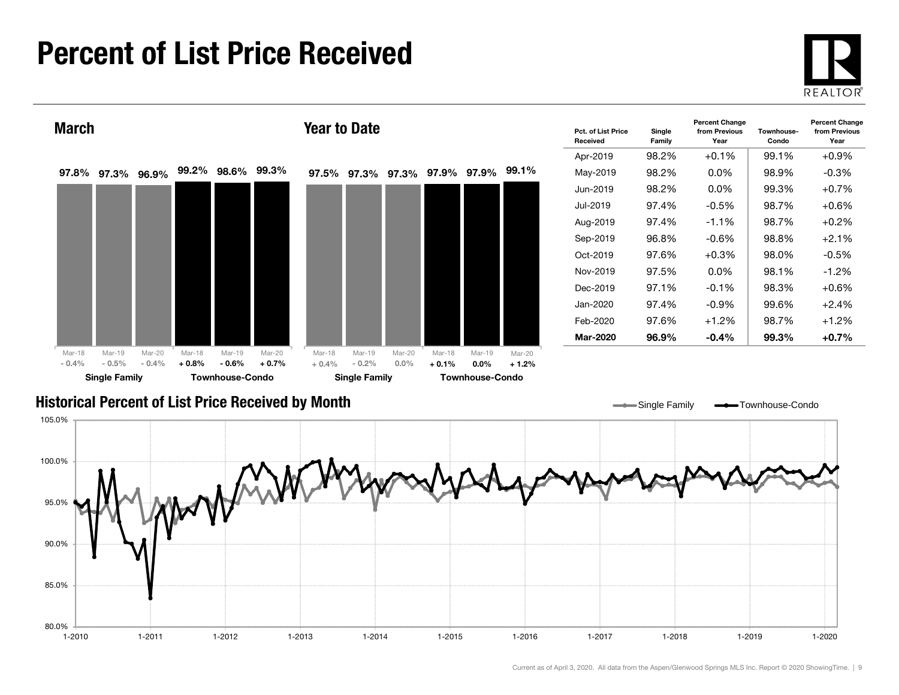# Percent of List Price Received



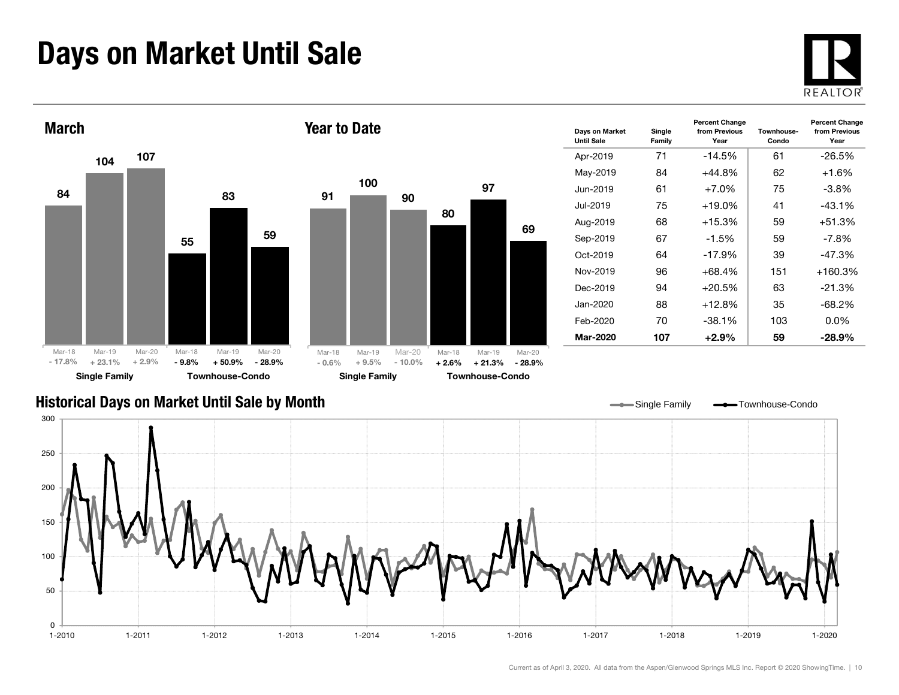# Days on Market Until Sale





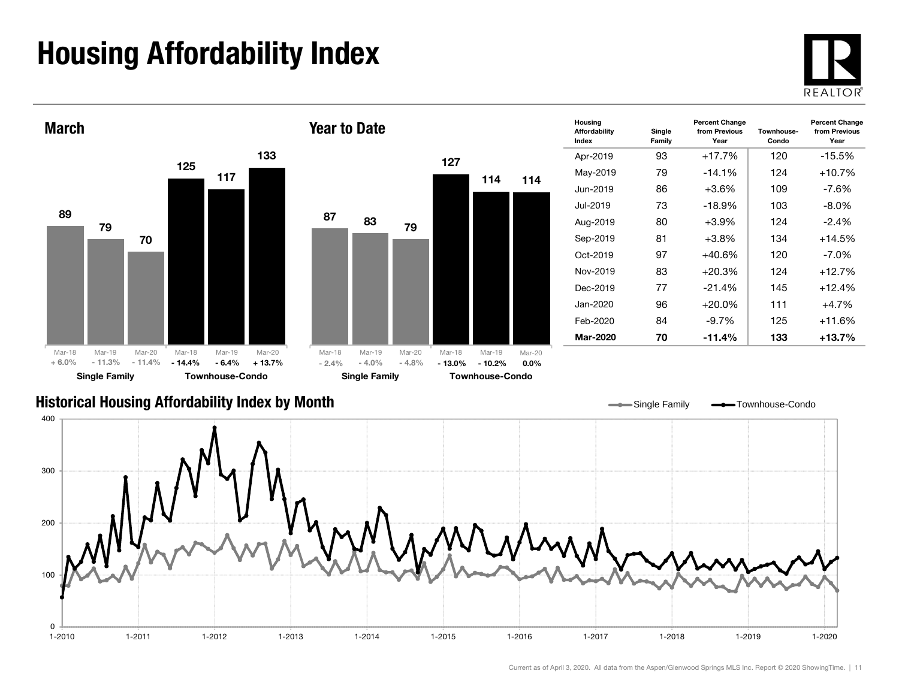# Housing Affordability Index



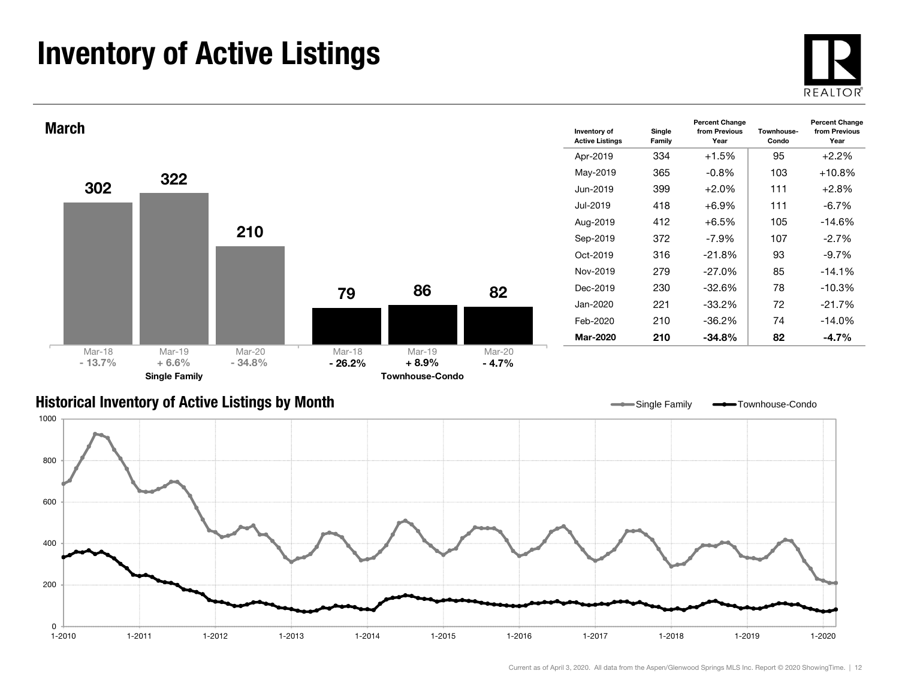# Inventory of Active Listings





#### Historical Inventory of Active Listings by Month



Single Family **-** Townhouse-Condo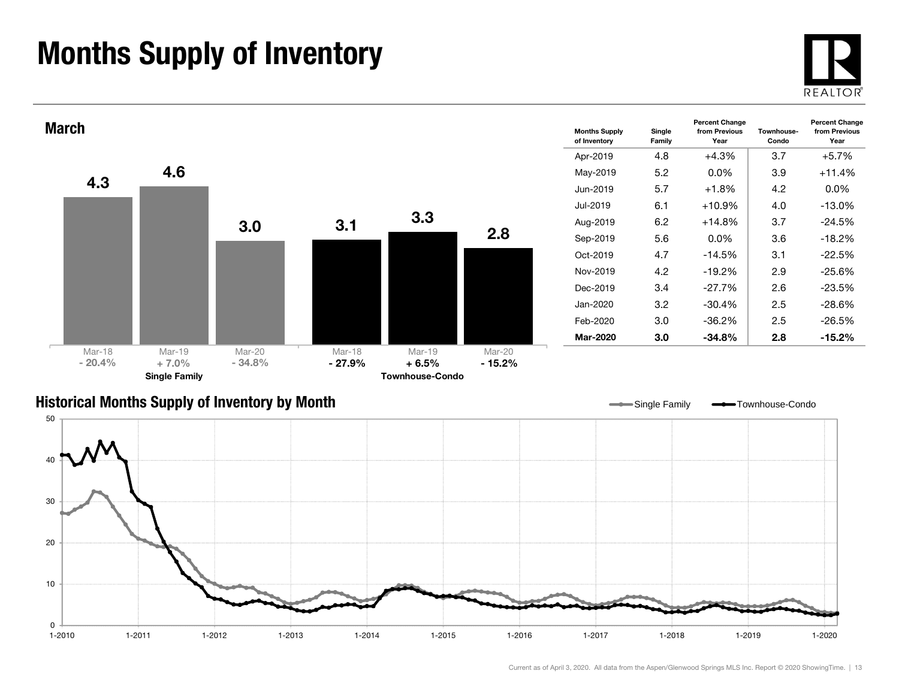# Months Supply of Inventory

0 $1 - 2010$ 

10



 $1 - 2020$ 



1-2010 1-2011 1-2012 1-2013 1-2014 1-2015 1-2016 1-2017 1-2018 1-2019 1-2020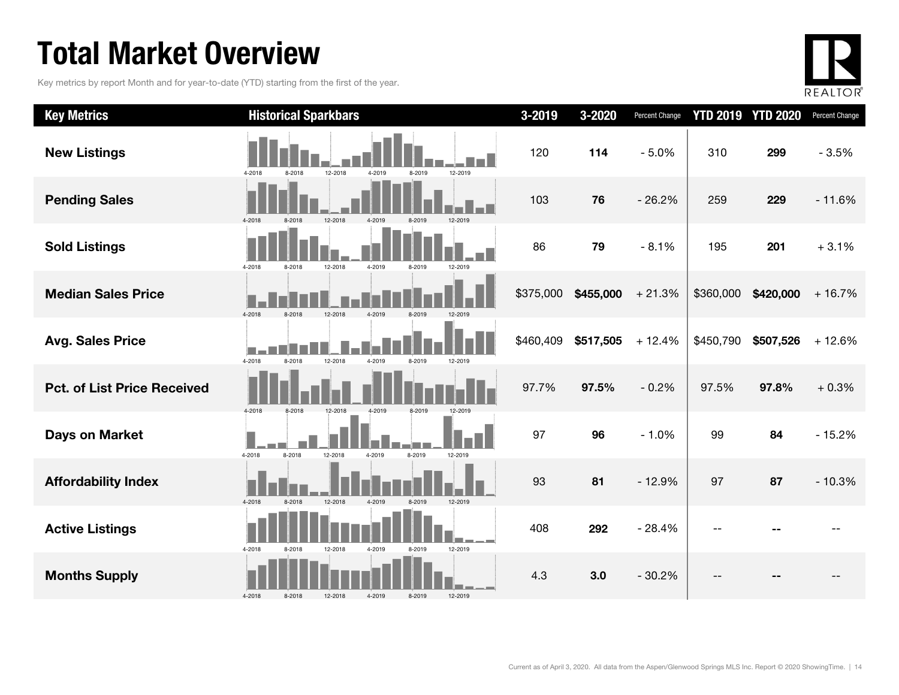# Total Market Overview

Key metrics by report Month and for year-to-date (YTD) starting from the first of the year.



| <b>Key Metrics</b>                 | <b>Historical Sparkbars</b>                                | 3-2019    | 3-2020    | Percent Change |           | <b>YTD 2019 YTD 2020</b> | Percent Change |
|------------------------------------|------------------------------------------------------------|-----------|-----------|----------------|-----------|--------------------------|----------------|
| <b>New Listings</b>                | 12-2018<br>4-2019<br>12-2019<br>4-2018<br>8-2018<br>8-2019 | 120       | 114       | $-5.0%$        | 310       | 299                      | $-3.5%$        |
| <b>Pending Sales</b>               | 8-2018<br>12-2018<br>4-2019<br>12-2019<br>4-2018<br>8-2019 | 103       | 76        | $-26.2%$       | 259       | 229                      | $-11.6%$       |
| <b>Sold Listings</b>               | 4-2018<br>12-2018<br>4-2019<br>8-2018<br>8-2019<br>12-2019 | 86        | 79        | $-8.1%$        | 195       | 201                      | $+3.1%$        |
| <b>Median Sales Price</b>          | 4-2018<br>12-2018<br>8-2018<br>4-2019<br>8-2019            | \$375,000 | \$455,000 | $+21.3%$       | \$360,000 | \$420,000                | $+16.7%$       |
| <b>Avg. Sales Price</b>            | 4-2018<br>12-2018<br>8-2018<br>4-2019<br>8-2019<br>12-2019 | \$460,409 | \$517,505 | $+12.4%$       | \$450,790 | \$507,526                | $+12.6%$       |
| <b>Pct. of List Price Received</b> | 4-2018<br>8-2018<br>12-2018<br>4-2019<br>8-2019<br>12-2019 | 97.7%     | 97.5%     | $-0.2%$        | 97.5%     | 97.8%                    | $+0.3%$        |
| <b>Days on Market</b>              | 4-2018<br>12-2018<br>8-2018<br>4-2019<br>8-2019<br>12-2019 | 97        | 96        | $-1.0%$        | 99        | 84                       | $-15.2%$       |
| <b>Affordability Index</b>         | 4-2018<br>12-2018<br>12-2019<br>8-2018<br>4-2019           | 93        | 81        | $-12.9%$       | 97        | 87                       | $-10.3%$       |
| <b>Active Listings</b>             | 4-2018<br>12-2018<br>4-2019<br>12-2019<br>8-2018<br>8-2019 | 408       | 292       | $-28.4%$       |           |                          |                |
| <b>Months Supply</b>               | 4-2018<br>8-2018<br>4-2019<br>8-2019<br>12-2019<br>12-2018 | 4.3       | 3.0       | $-30.2%$       |           |                          |                |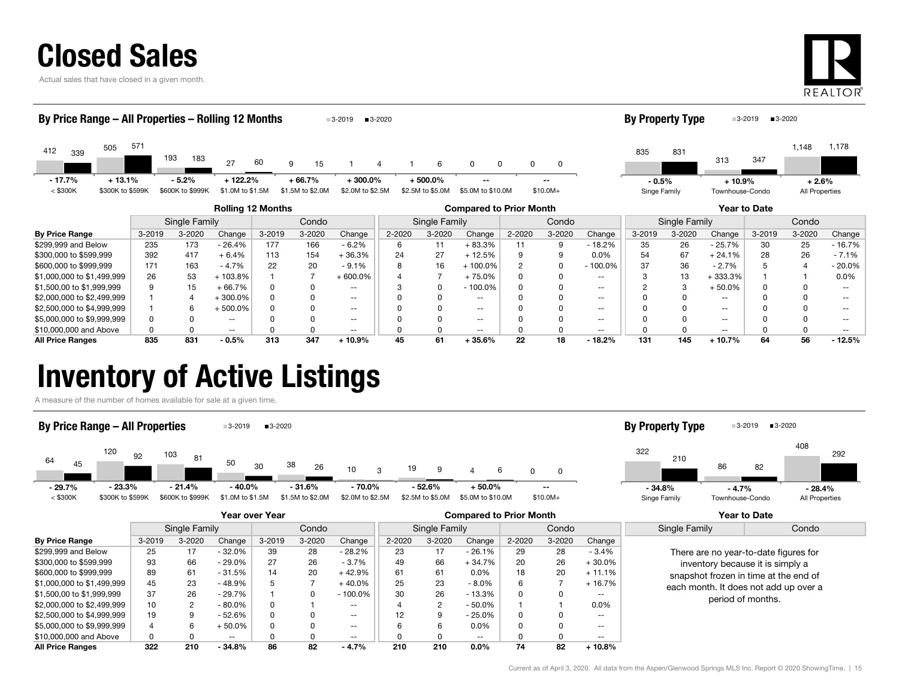Actual sales that have closed in a given month.



| By Price Range – All Properties – Rolling 12 Months<br>■3-2020<br>$3 - 2019$ |                  |            |                  |                  |        |                  |                        |        |                  |                   |        |           |                   |              | <b>By Property Type</b> |                 | ■3-2020<br>$3-2019$ |                |           |
|------------------------------------------------------------------------------|------------------|------------|------------------|------------------|--------|------------------|------------------------|--------|------------------|-------------------|--------|-----------|-------------------|--------------|-------------------------|-----------------|---------------------|----------------|-----------|
| 412<br>339                                                                   | 505              | 571        | 193<br>183       | 27               | 60     | 9<br>15          |                        |        | 6                | 0<br>0            | 0      | 0         |                   | 835          | 831                     | 313             | 347                 | 1,148          | 1,178     |
| $-17.7%$                                                                     | $+13.1%$         |            | $-5.2%$          | $+122.2%$        |        | $+66.7%$         | $+300.0%$              |        | $+500.0\%$       |                   |        | $-$       |                   | $-0.5%$      |                         | $+10.9%$        |                     | $+2.6%$        |           |
| $<$ \$300K                                                                   | \$300K to \$599K |            | \$600K to \$999K | \$1.0M to \$1.5M |        | \$1.5M to \$2.0M | \$2.0M to \$2.5M       |        | \$2.5M to \$5.0M | \$5.0M to \$10.0M |        | $$10.0M+$ |                   | Singe Family |                         | Townhouse-Condo |                     | All Properties |           |
| <b>Rolling 12 Months</b><br><b>Compared to Prior Month</b>                   |                  |            |                  |                  |        |                  |                        |        |                  |                   |        |           |                   | Year to Date |                         |                 |                     |                |           |
|                                                                              |                  |            | Single Family    |                  |        | Condo            | Condo<br>Single Family |        |                  |                   |        |           | Single Family     |              |                         | Condo           |                     |                |           |
| <b>By Price Range</b>                                                        |                  | $3 - 2019$ | 3-2020           | Change           | 3-2019 | 3-2020           | Change                 | 2-2020 | 3-2020           | Change            | 2-2020 | 3-2020    | Change            | 3-2019       | 3-2020                  | Change          | 3-2019              | 3-2020         | Change    |
| \$299,999 and Below                                                          |                  | 235        | 173              | - 26.4%          | 177    | 166              | $-6.2%$                | 6      | 11               | $+83.3%$          | 11     | 9         | $-18.2%$          | 35           | 26                      | - 25.7%         | 30                  | 25             | - 16.7%   |
| \$300,000 to \$599,999                                                       |                  | 392        | 417              | $+6.4%$          | 113    | 154              | $+36.3%$               | 24     | 27               | $+12.5%$          |        |           | 0.0%              | 54           | 67                      | $+24.1%$        | 28                  | 26             | $-7.1%$   |
| \$600,000 to \$999,999                                                       |                  | 171        | 163              | $-4.7%$          | 22     | 20               | $-9.1%$                |        | 16               | $+100.0%$         |        |           | $-100.0%$         | 37           | 36                      | $-2.7%$         |                     |                | $-20.0\%$ |
| \$1,000,000 to \$1,499,999                                                   |                  | 26         | 53               | $+103.8%$        |        |                  | $+600.0\%$             |        |                  | $+75.0%$          |        |           | $\qquad \qquad -$ |              | 13                      | $+333.3%$       |                     |                | 0.0%      |
| \$1,500,00 to \$1,999,999                                                    |                  | 9          | 15               | $+66.7%$         |        |                  | $- -$                  |        |                  | $-100.0\%$        |        |           | $- -$             |              | 3                       | $+50.0%$        | U                   |                |           |
| \$2,000,000 to \$2,499,999                                                   |                  |            | 4                | $+300.0\%$       |        |                  | $- -$                  |        | O                | $\sim$ $\sim$     |        |           | $- -$             |              | 0                       | $\sim$ $\sim$   |                     |                |           |
| \$2,500,000 to \$4,999,999                                                   |                  |            | 6                | + 500.0%         |        |                  | $\sim$ $\sim$          |        |                  | $\sim$ $\sim$     |        |           | $\qquad \qquad -$ |              | <sup>0</sup>            | $\sim$ $\sim$   |                     |                |           |
| \$5,000,000 to \$9,999,999                                                   |                  |            |                  | --               |        |                  | $- -$                  |        |                  | $- -$             |        |           | $- -$             |              |                         | $- -$           |                     |                |           |

\$10,000,000 and Above 0 0 -- 0 0 -- 0 0 -- 0 0 -- 0 0 -- 0 0 -- All Price Ranges 835 831 - 0.5% 313 347 + 10.9% 45 61 + 35.6% 22 18 - 18.2% 131 145 + 10.7% 64 56 - 12.5%

### Inventory of Active Listings

A measure of the number of homes available for sale at a given time.

#### By Price Range – All Properties  $\blacksquare$ 3-2019  $\blacksquare$ 3-2020





|                            | Year over Year |            |           |            |            |                          | <b>Compared to Prior Month</b> |            |          |            |            |           | Year to Date                                                                                                                                                |       |
|----------------------------|----------------|------------|-----------|------------|------------|--------------------------|--------------------------------|------------|----------|------------|------------|-----------|-------------------------------------------------------------------------------------------------------------------------------------------------------------|-------|
|                            | Single Family  |            |           | Condo      |            |                          | Single Family                  |            |          | Condo      |            |           | Single Family                                                                                                                                               | Condo |
| <b>By Price Range</b>      | $3 - 2019$     | $3 - 2020$ | Change    | $3 - 2019$ | $3 - 2020$ | Change                   | $2 - 2020$                     | $3 - 2020$ | Change   | $2 - 2020$ | $3 - 2020$ | Change    |                                                                                                                                                             |       |
| \$299.999 and Below        | 25             | 17         | $-32.0%$  | 39         | 28         | $-28.2%$                 | 23                             | 17         | $-26.1%$ | 29         | 28         | $-3.4%$   | There are no year-to-date figures for<br>inventory because it is simply a<br>snapshot frozen in time at the end of<br>each month. It does not add up over a |       |
| \$300,000 to \$599,999     | 93             | 66         | $-29.0%$  | 27         | 26         | $-3.7%$                  | 49                             | 66         | $+34.7%$ | 20         | 26         | $+30.0\%$ |                                                                                                                                                             |       |
| \$600,000 to \$999,999     | 89             | 61         | $-31.5%$  | 14         | 20         | $+42.9%$                 | 61                             | 61         | $0.0\%$  | 18         | 20         | $+11.1%$  |                                                                                                                                                             |       |
| \$1,000,000 to \$1,499,999 | 45             | 23         | $-48.9%$  | đ          |            | $+40.0%$                 | 25                             | 23         | $-8.0\%$ | 6          |            | $+16.7%$  |                                                                                                                                                             |       |
| \$1,500,00 to \$1,999,999  | 37             | 26         | $-29.7%$  |            |            | $-100.0\%$               | 30                             | 26         | - 13.3%  | 0          | Ω          | --        | period of months.                                                                                                                                           |       |
| \$2,000,000 to \$2,499,999 | 10             |            | $-80.0\%$ |            |            | $- -$                    |                                | 2          | - 50.0%  |            |            | 0.0%      |                                                                                                                                                             |       |
| \$2,500,000 to \$4,999,999 | 19             | g          | $-52.6%$  |            |            | $\overline{\phantom{a}}$ |                                | 9          | - 25.0%  | 0          |            | --        |                                                                                                                                                             |       |
| \$5,000,000 to \$9,999,999 | 4              |            | $+50.0\%$ |            |            | $- -$                    |                                | 6          | 0.0%     | 0          |            | --        |                                                                                                                                                             |       |
| \$10,000,000 and Above     | 0              |            | $- -$     |            |            | $- -$                    |                                | 0          | $- -$    | ŋ          |            | --        |                                                                                                                                                             |       |
| <b>All Price Ranges</b>    | 322            | 210        | $-34.8%$  | 86         | 82         | $-4.7%$                  | 210                            | 210        | $0.0\%$  | 74         | 82         | 10.8%     |                                                                                                                                                             |       |